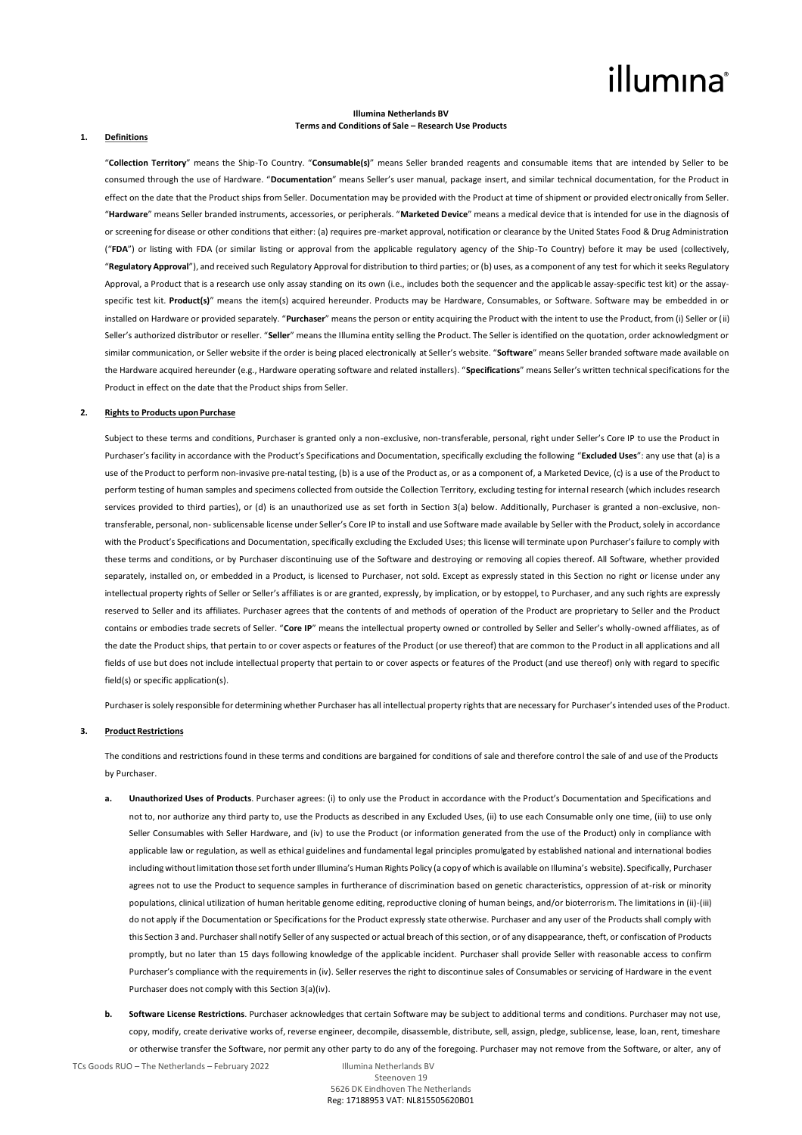# illumına

### **Illumina Netherlands BV Terms and Conditions of Sale – Research Use Products**

#### **1. Definitions**

"**Collection Territory**" means the Ship-To Country. "**Consumable(s)**" means Seller branded reagents and consumable items that are intended by Seller to be consumed through the use of Hardware. "**Documentation**" means Seller's user manual, package insert, and similar technical documentation, for the Product in effect on the date that the Product ships from Seller. Documentation may be provided with the Product at time of shipment or provided electronically from Seller. "**Hardware**" means Seller branded instruments, accessories, or peripherals. "**Marketed Device**" means a medical device that is intended for use in the diagnosis of or screening for disease or other conditions that either: (a) requires pre-market approval, notification or clearance by the United States Food & Drug Administration ("**FDA**") or listing with FDA (or similar listing or approval from the applicable regulatory agency of the Ship-To Country) before it may be used (collectively, "**Regulatory Approval**"), and received such Regulatory Approval for distribution to third parties; or (b) uses, as a component of any test for which it seeks Regulatory Approval, a Product that is a research use only assay standing on its own (i.e., includes both the sequencer and the applicable assay-specific test kit) or the assayspecific test kit. **Product(s)**" means the item(s) acquired hereunder. Products may be Hardware, Consumables, or Software. Software may be embedded in or installed on Hardware or provided separately. "**Purchaser**" means the person or entity acquiring the Product with the intent to use the Product, from (i) Seller or (ii) Seller's authorized distributor or reseller. "**Seller**" means the Illumina entity selling the Product. The Seller is identified on the quotation, order acknowledgment or similar communication, or Seller website if the order is being placed electronically at Seller's website. "**Software**" means Seller branded software made available on the Hardware acquired hereunder (e.g., Hardware operating software and related installers). "**Specifications**" means Seller's written technical specifications for the Product in effect on the date that the Product ships from Seller.

#### **2. Rights to Products upon Purchase**

Subject to these terms and conditions, Purchaser is granted only a non-exclusive, non-transferable, personal, right under Seller's Core IP to use the Product in Purchaser's facility in accordance with the Product's Specifications and Documentation, specifically excluding the following "**Excluded Uses**": any use that (a) is a use of the Product to perform non-invasive pre-natal testing, (b) is a use of the Product as, or as a component of, a Marketed Device, (c) is a use of the Product to perform testing of human samples and specimens collected from outside the Collection Territory, excluding testing for internal research (which includes research services provided to third parties), or (d) is an unauthorized use as set forth in Section 3(a) below. Additionally, Purchaser is granted a non-exclusive, nontransferable, personal, non-sublicensable license under Seller's Core IP to install and use Software made available by Seller with the Product, solely in accordance with the Product's Specifications and Documentation, specifically excluding the Excluded Uses; this license will terminate upon Purchaser's failure to comply with these terms and conditions, or by Purchaser discontinuing use of the Software and destroying or removing all copies thereof. All Software, whether provided separately, installed on, or embedded in a Product, is licensed to Purchaser, not sold. Except as expressly stated in this Section no right or license under any intellectual property rights of Seller or Seller's affiliates is or are granted, expressly, by implication, or by estoppel, to Purchaser, and any such rights are expressly reserved to Seller and its affiliates. Purchaser agrees that the contents of and methods of operation of the Product are proprietary to Seller and the Product contains or embodies trade secrets of Seller. "**Core IP**" means the intellectual property owned or controlled by Seller and Seller's wholly-owned affiliates, as of the date the Product ships, that pertain to or cover aspects or features of the Product (or use thereof) that are common to the Product in all applications and all fields of use but does not include intellectual property that pertain to or cover aspects or features of the Product (and use thereof) only with regard to specific field(s) or specific application(s).

Purchaser is solely responsible for determining whether Purchaser has all intellectual property rights that are necessary for Purchaser's intended uses of the Product.

## **3. Product Restrictions**

The conditions and restrictions found in these terms and conditions are bargained for conditions of sale and therefore control the sale of and use of the Products by Purchaser.

- **a. Unauthorized Uses of Products**. Purchaser agrees: (i) to only use the Product in accordance with the Product's Documentation and Specifications and not to, nor authorize any third party to, use the Products as described in any Excluded Uses, (ii) to use each Consumable only one time, (iii) to use only Seller Consumables with Seller Hardware, and (iv) to use the Product (or information generated from the use of the Product) only in compliance with applicable law or regulation, as well as ethical guidelines and fundamental legal principles promulgated by established national and international bodies including without limitation those set forth under Illumina's Human Rights Policy (a copy of which is available on Illumina's website). Specifically, Purchaser agrees not to use the Product to sequence samples in furtherance of discrimination based on genetic characteristics, oppression of at-risk or minority populations, clinical utilization of human heritable genome editing, reproductive cloning of human beings, and/or bioterrorism. The limitations in (ii)-(iii) do not apply if the Documentation or Specifications for the Product expressly state otherwise. Purchaser and any user of the Products shall comply with this Section 3 and. Purchaser shall notify Seller of any suspected or actual breach of this section, or of any disappearance, theft, or confiscation of Products promptly, but no later than 15 days following knowledge of the applicable incident. Purchaser shall provide Seller with reasonable access to confirm Purchaser's compliance with the requirements in (iv). Seller reserves the right to discontinue sales of Consumables or servicing of Hardware in the event Purchaser does not comply with this Section 3(a)(iv).
- **b. Software License Restrictions**. Purchaser acknowledges that certain Software may be subject to additional terms and conditions. Purchaser may not use, copy, modify, create derivative works of, reverse engineer, decompile, disassemble, distribute, sell, assign, pledge, sublicense, lease, loan, rent, timeshare or otherwise transfer the Software, nor permit any other party to do any of the foregoing. Purchaser may not remove from the Software, or alter, any of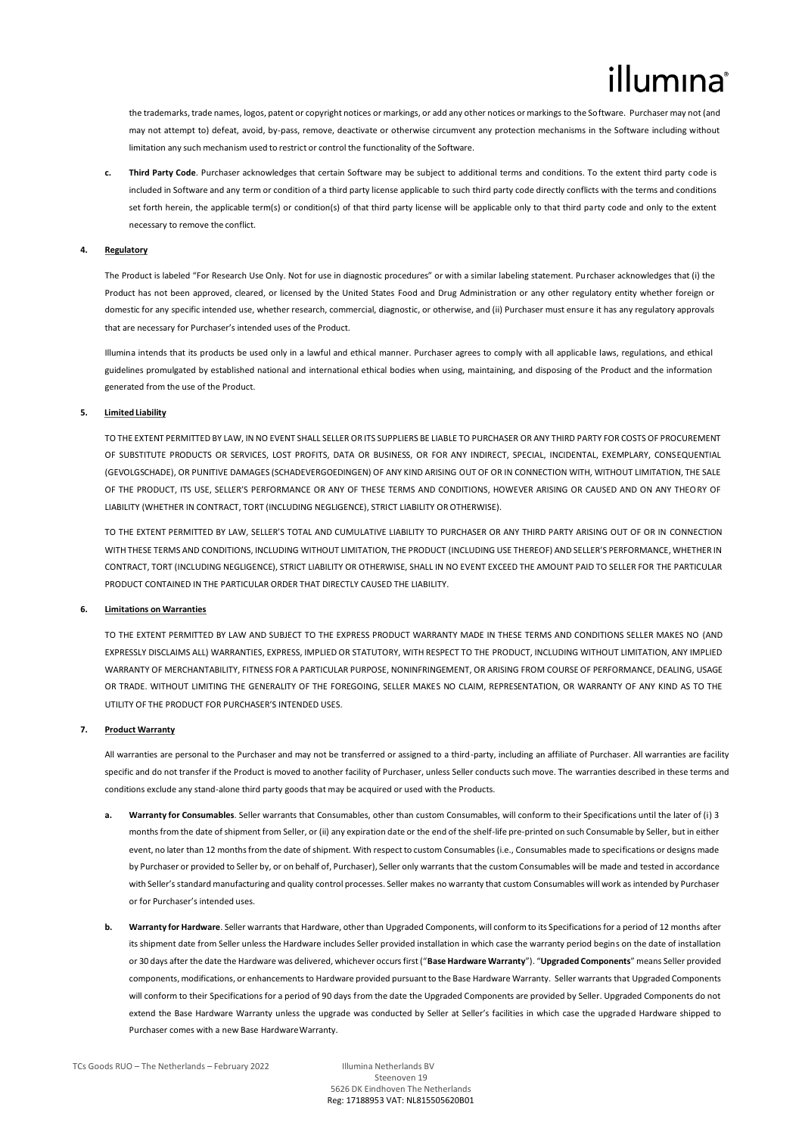the trademarks, trade names, logos, patent or copyright notices or markings, or add any other notices or markings to the Software. Purchaser may not (and may not attempt to) defeat, avoid, by-pass, remove, deactivate or otherwise circumvent any protection mechanisms in the Software including without limitation any such mechanism used to restrict or control the functionality of the Software.

**c. Third Party Code**. Purchaser acknowledges that certain Software may be subject to additional terms and conditions. To the extent third party code is included in Software and any term or condition of a third party license applicable to such third party code directly conflicts with the terms and conditions set forth herein, the applicable term(s) or condition(s) of that third party license will be applicable only to that third party code and only to the extent necessary to remove the conflict.

### **4. Regulatory**

The Product is labeled "For Research Use Only. Not for use in diagnostic procedures" or with a similar labeling statement. Purchaser acknowledges that (i) the Product has not been approved, cleared, or licensed by the United States Food and Drug Administration or any other regulatory entity whether foreign or domestic for any specific intended use, whether research, commercial, diagnostic, or otherwise, and (ii) Purchaser must ensure it has any regulatory approvals that are necessary for Purchaser's intended uses of the Product.

Illumina intends that its products be used only in a lawful and ethical manner. Purchaser agrees to comply with all applicable laws, regulations, and ethical guidelines promulgated by established national and international ethical bodies when using, maintaining, and disposing of the Product and the information generated from the use of the Product.

# **5. Limited Liability**

TO THE EXTENT PERMITTED BY LAW, IN NO EVENT SHALL SELLER OR ITS SUPPLIERS BE LIABLE TO PURCHASER OR ANY THIRD PARTY FOR COSTS OF PROCUREMENT OF SUBSTITUTE PRODUCTS OR SERVICES, LOST PROFITS, DATA OR BUSINESS, OR FOR ANY INDIRECT, SPECIAL, INCIDENTAL, EXEMPLARY, CONSEQUENTIAL (GEVOLGSCHADE), OR PUNITIVE DAMAGES (SCHADEVERGOEDINGEN) OF ANY KIND ARISING OUT OF OR IN CONNECTION WITH, WITHOUT LIMITATION, THE SALE OF THE PRODUCT, ITS USE, SELLER'S PERFORMANCE OR ANY OF THESE TERMS AND CONDITIONS, HOWEVER ARISING OR CAUSED AND ON ANY THEORY OF LIABILITY (WHETHER IN CONTRACT, TORT (INCLUDING NEGLIGENCE), STRICT LIABILITY OR OTHERWISE).

TO THE EXTENT PERMITTED BY LAW, SELLER'S TOTAL AND CUMULATIVE LIABILITY TO PURCHASER OR ANY THIRD PARTY ARISING OUT OF OR IN CONNECTION WITH THESE TERMS AND CONDITIONS, INCLUDING WITHOUT LIMITATION, THE PRODUCT (INCLUDING USE THEREOF) AND SELLER'S PERFORMANCE, WHETHER IN CONTRACT, TORT (INCLUDING NEGLIGENCE), STRICT LIABILITY OR OTHERWISE, SHALL IN NO EVENT EXCEED THE AMOUNT PAID TO SELLER FOR THE PARTICULAR PRODUCT CONTAINED IN THE PARTICULAR ORDER THAT DIRECTLY CAUSED THE LIABILITY.

## **6. Limitations on Warranties**

TO THE EXTENT PERMITTED BY LAW AND SUBJECT TO THE EXPRESS PRODUCT WARRANTY MADE IN THESE TERMS AND CONDITIONS SELLER MAKES NO (AND EXPRESSLY DISCLAIMS ALL) WARRANTIES, EXPRESS, IMPLIED OR STATUTORY, WITH RESPECT TO THE PRODUCT, INCLUDING WITHOUT LIMITATION, ANY IMPLIED WARRANTY OF MERCHANTABILITY, FITNESS FOR A PARTICULAR PURPOSE, NONINFRINGEMENT, OR ARISING FROM COURSE OF PERFORMANCE, DEALING, USAGE OR TRADE. WITHOUT LIMITING THE GENERALITY OF THE FOREGOING, SELLER MAKES NO CLAIM, REPRESENTATION, OR WARRANTY OF ANY KIND AS TO THE UTILITY OF THE PRODUCT FOR PURCHASER'S INTENDED USES.

#### **7. Product Warranty**

All warranties are personal to the Purchaser and may not be transferred or assigned to a third-party, including an affiliate of Purchaser. All warranties are facility specific and do not transfer if the Product is moved to another facility of Purchaser, unless Seller conducts such move. The warranties described in these terms and conditions exclude any stand-alone third party goods that may be acquired or used with the Products.

- **a. Warranty for Consumables**. Seller warrants that Consumables, other than custom Consumables, will conform to their Specifications until the later of (i) 3 months from the date of shipment from Seller, or (ii) any expiration date or the end of the shelf-life pre-printed on such Consumable by Seller, but in either event, no later than 12 months from the date of shipment. With respect to custom Consumables (i.e., Consumables made to specifications or designs made by Purchaser or provided to Seller by, or on behalf of, Purchaser), Seller only warrants that the custom Consumables will be made and tested in accordance with Seller's standard manufacturing and quality control processes. Seller makes no warranty that custom Consumables will work as intended by Purchaser or for Purchaser's intended uses.
- **b. Warranty for Hardware**. Seller warrants that Hardware, other than Upgraded Components, will conform to its Specifications for a period of 12 months after its shipment date from Seller unless the Hardware includes Seller provided installation in which case the warranty period begins on the date of installation or 30 days after the date the Hardware was delivered, whichever occurs first ("**Base Hardware Warranty**"). "**Upgraded Components**" means Seller provided components, modifications, or enhancements to Hardware provided pursuant to the Base Hardware Warranty. Seller warrants that Upgraded Components will conform to their Specifications for a period of 90 days from the date the Upgraded Components are provided by Seller. Upgraded Components do not extend the Base Hardware Warranty unless the upgrade was conducted by Seller at Seller's facilities in which case the upgraded Hardware shipped to Purchaser comes with a new Base Hardware Warranty.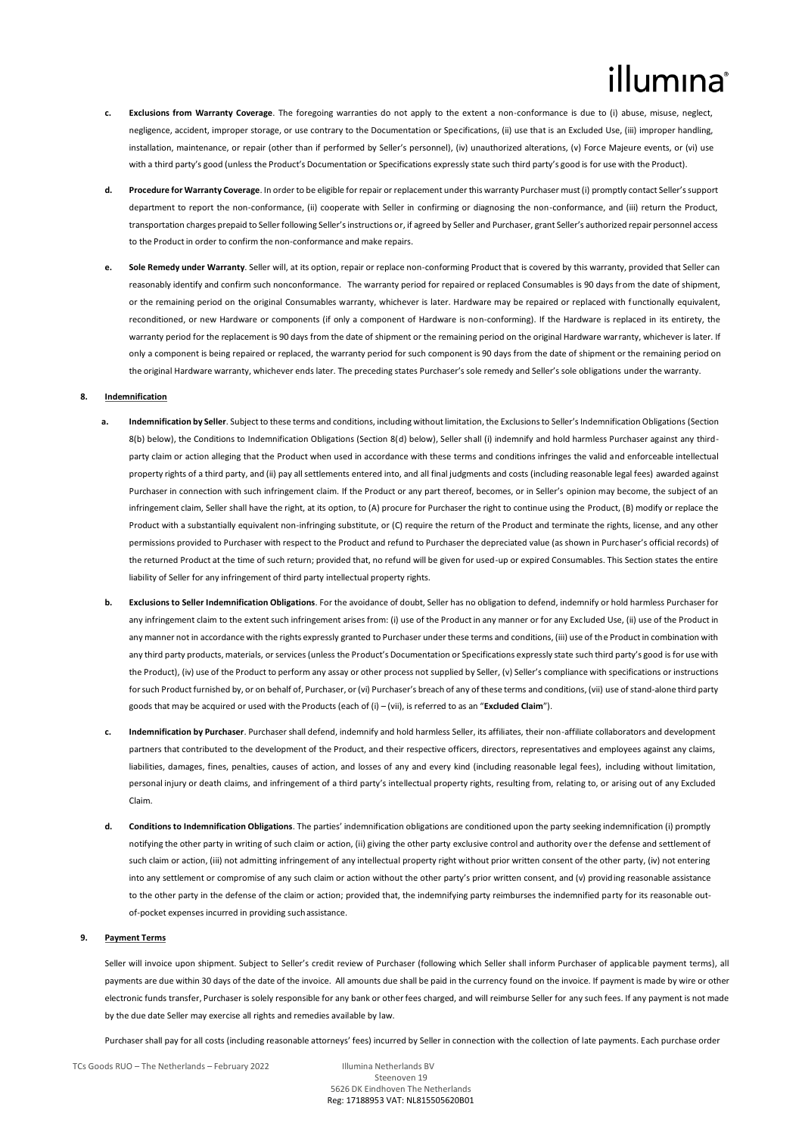# lumına

- **Exclusions from Warranty Coverage**. The foregoing warranties do not apply to the extent a non-conformance is due to (i) abuse, misuse, neglect, negligence, accident, improper storage, or use contrary to the Documentation or Specifications, (ii) use that is an Excluded Use, (iii) improper handling, installation, maintenance, or repair (other than if performed by Seller's personnel), (iv) unauthorized alterations, (v) Force Majeure events, or (vi) use with a third party's good (unless the Product's Documentation or Specifications expressly state such third party's good is for use with the Product).
- **d. Procedure for Warranty Coverage**. In order to be eligible for repair or replacement under this warranty Purchaser must (i) promptly contact Seller's support department to report the non-conformance, (ii) cooperate with Seller in confirming or diagnosing the non-conformance, and (iii) return the Product, transportation charges prepaid to Seller following Seller's instructions or, if agreed by Seller and Purchaser, grant Seller's authorized repair personnel access to the Product in order to confirm the non-conformance and make repairs.
- **e. Sole Remedy under Warranty**. Seller will, at its option, repair or replace non-conforming Product that is covered by this warranty, provided that Seller can reasonably identify and confirm such nonconformance. The warranty period for repaired or replaced Consumables is 90 days from the date of shipment, or the remaining period on the original Consumables warranty, whichever is later. Hardware may be repaired or replaced with functionally equivalent, reconditioned, or new Hardware or components (if only a component of Hardware is non-conforming). If the Hardware is replaced in its entirety, the warranty period for the replacement is 90 days from the date of shipment or the remaining period on the original Hardware warranty, whichever is later. If only a component is being repaired or replaced, the warranty period for such component is 90 days from the date of shipment or the remaining period on the original Hardware warranty, whichever ends later. The preceding states Purchaser's sole remedy and Seller's sole obligations under the warranty.

#### **8. Indemnification**

- **a. Indemnification by Seller**. Subject to these terms and conditions, including without limitation, the Exclusions to Seller's Indemnification Obligations (Section 8(b) below), the Conditions to Indemnification Obligations (Section 8(d) below), Seller shall (i) indemnify and hold harmless Purchaser against any thirdparty claim or action alleging that the Product when used in accordance with these terms and conditions infringes the valid and enforceable intellectual property rights of a third party, and (ii) pay all settlements entered into, and all final judgments and costs (including reasonable legal fees) awarded against Purchaser in connection with such infringement claim. If the Product or any part thereof, becomes, or in Seller's opinion may become, the subject of an infringement claim, Seller shall have the right, at its option, to (A) procure for Purchaser the right to continue using the Product, (B) modify or replace the Product with a substantially equivalent non-infringing substitute, or (C) require the return of the Product and terminate the rights, license, and any other permissions provided to Purchaser with respect to the Product and refund to Purchaser the depreciated value (as shown in Purchaser's official records) of the returned Product at the time of such return; provided that, no refund will be given for used-up or expired Consumables. This Section states the entire liability of Seller for any infringement of third party intellectual property rights.
- **b. Exclusions to Seller Indemnification Obligations**. For the avoidance of doubt, Seller has no obligation to defend, indemnify or hold harmless Purchaser for any infringement claim to the extent such infringement arises from: (i) use of the Product in any manner or for any Excluded Use, (ii) use of the Product in any manner not in accordance with the rights expressly granted to Purchaser under these terms and conditions, (iii) use of the Product in combination with any third party products, materials, or services (unless the Product's Documentation or Specifications expressly state such third party's good is for use with the Product), (iv) use of the Product to perform any assay or other process not supplied by Seller, (v) Seller's compliance with specifications or instructions forsuch Product furnished by, or on behalf of, Purchaser, or (vi) Purchaser's breach of any of these terms and conditions, (vii) use of stand-alone third party goods that may be acquired or used with the Products (each of (i) – (vii), is referred to as an "**Excluded Claim**").
- **c. Indemnification by Purchaser**. Purchaser shall defend, indemnify and hold harmless Seller, its affiliates, their non-affiliate collaborators and development partners that contributed to the development of the Product, and their respective officers, directors, representatives and employees against any claims liabilities, damages, fines, penalties, causes of action, and losses of any and every kind (including reasonable legal fees), including without limitation, personal injury or death claims, and infringement of a third party's intellectual property rights, resulting from, relating to, or arising out of any Excluded Claim.
- **d. Conditions to Indemnification Obligations**. The parties' indemnification obligations are conditioned upon the party seeking indemnification (i) promptly notifying the other party in writing of such claim or action, (ii) giving the other party exclusive control and authority over the defense and settlement of such claim or action, (iii) not admitting infringement of any intellectual property right without prior written consent of the other party, (iv) not entering into any settlement or compromise of any such claim or action without the other party's prior written consent, and (v) providing reasonable assistance to the other party in the defense of the claim or action; provided that, the indemnifying party reimburses the indemnified party for its reasonable outof-pocket expenses incurred in providing suchassistance.

#### **9. Payment Terms**

Seller will invoice upon shipment. Subject to Seller's credit review of Purchaser (following which Seller shall inform Purchaser of applicable payment terms), all payments are due within 30 days of the date of the invoice. All amounts due shall be paid in the currency found on the invoice. If payment is made by wire or other electronic funds transfer, Purchaser is solely responsible for any bank or other fees charged, and will reimburse Seller for any such fees. If any payment is not made by the due date Seller may exercise all rights and remedies available by law.

Purchaser shall pay for all costs (including reasonable attorneys' fees) incurred by Seller in connection with the collection of late payments. Each purchase order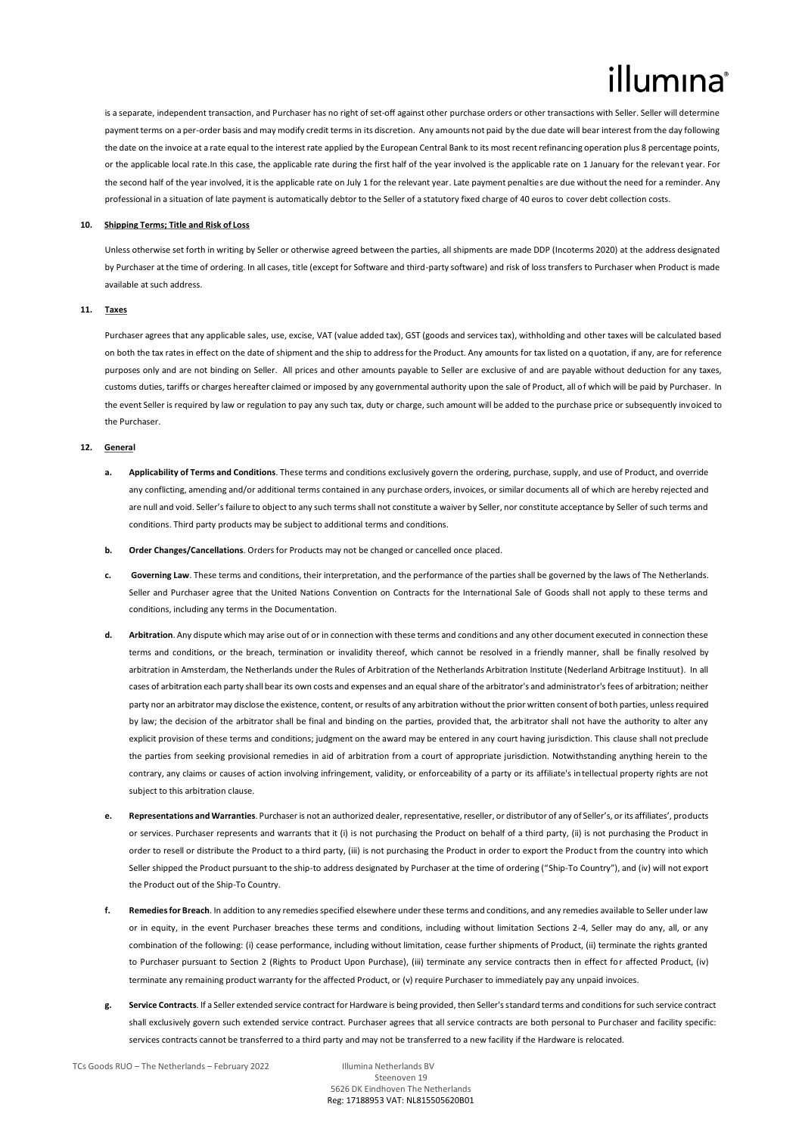is a separate, independent transaction, and Purchaser has no right of set-off against other purchase orders or other transactions with Seller. Seller will determine payment terms on a per-order basis and may modify credit terms in its discretion. Any amounts not paid by the due date will bear interest from the day following the date on the invoice at a rate equal to the interest rate applied by the European Central Bank to its most recent refinancing operation plus 8 percentage points, or the applicable local rate.In this case, the applicable rate during the first half of the year involved is the applicable rate on 1 January for the relevant year. For the second half of the year involved, it is the applicable rate on July 1 for the relevant year. Late payment penalties are due without the need for a reminder. Any professional in a situation of late payment is automatically debtor to the Seller of a statutory fixed charge of 40 euros to cover debt collection costs.

# **10. Shipping Terms; Title and Risk of Loss**

Unless otherwise set forth in writing by Seller or otherwise agreed between the parties, all shipments are made DDP (Incoterms 2020) at the address designated by Purchaser at the time of ordering. In all cases, title (except for Software and third-party software) and risk of loss transfers to Purchaser when Product is made available at such address.

## **11. Taxes**

Purchaser agrees that any applicable sales, use, excise, VAT (value added tax), GST (goods and services tax), withholding and other taxes will be calculated based on both the tax rates in effect on the date of shipment and the ship to address for the Product. Any amounts for tax listed on a quotation, if any, are for reference purposes only and are not binding on Seller. All prices and other amounts payable to Seller are exclusive of and are payable without deduction for any taxes, customs duties, tariffs or charges hereafter claimed or imposed by any governmental authority upon the sale of Product, all of which will be paid by Purchaser. In the event Seller is required by law or regulation to pay any such tax, duty or charge, such amount will be added to the purchase price or subsequently invoiced to the Purchaser.

#### **12. General**

- **a. Applicability of Terms and Conditions**. These terms and conditions exclusively govern the ordering, purchase, supply, and use of Product, and override any conflicting, amending and/or additional terms contained in any purchase orders, invoices, or similar documents all of which are hereby rejected and are null and void. Seller's failure to object to any such terms shall not constitute a waiver by Seller, nor constitute acceptance by Seller of such terms and conditions. Third party products may be subject to additional terms and conditions.
- **b. Order Changes/Cancellations**. Orders for Products may not be changed or cancelled once placed.
- **c. Governing Law**. These terms and conditions, their interpretation, and the performance of the parties shall be governed by the laws of The Netherlands. Seller and Purchaser agree that the United Nations Convention on Contracts for the International Sale of Goods shall not apply to these terms and conditions, including any terms in the Documentation.
- **d. Arbitration**. Any dispute which may arise out of or in connection with these terms and conditions and any other document executed in connection these terms and conditions, or the breach, termination or invalidity thereof, which cannot be resolved in a friendly manner, shall be finally resolved by arbitration in Amsterdam, the Netherlands under the Rules of Arbitration of the Netherlands Arbitration Institute (Nederland Arbitrage Instituut). In all cases of arbitration each party shall bear its own costs and expenses and an equal share of the arbitrator's and administrator's fees of arbitration; neither party nor an arbitrator may disclose the existence, content, or results of any arbitration without the prior written consent of both parties, unless required by law; the decision of the arbitrator shall be final and binding on the parties, provided that, the arbitrator shall not have the authority to alter any explicit provision of these terms and conditions; judgment on the award may be entered in any court having jurisdiction. This clause shall not preclude the parties from seeking provisional remedies in aid of arbitration from a court of appropriate jurisdiction. Notwithstanding anything herein to the contrary, any claims or causes of action involving infringement, validity, or enforceability of a party or its affiliate's intellectual property rights are not subject to this arbitration clause.
- **e. Representations and Warranties**. Purchaser is not an authorized dealer, representative, reseller, or distributor of any of Seller's, or its affiliates', products or services. Purchaser represents and warrants that it (i) is not purchasing the Product on behalf of a third party, (ii) is not purchasing the Product in order to resell or distribute the Product to a third party, (iii) is not purchasing the Product in order to export the Product from the country into which Seller shipped the Product pursuant to the ship-to address designated by Purchaser at the time of ordering ("Ship-To Country"), and (iv) will not export the Product out of the Ship-To Country.
- **f. Remedies for Breach**. In addition to any remedies specified elsewhere under these terms and conditions, and any remedies available to Seller under law or in equity, in the event Purchaser breaches these terms and conditions, including without limitation Sections 2-4, Seller may do any, all, or any combination of the following: (i) cease performance, including without limitation, cease further shipments of Product, (ii) terminate the rights granted to Purchaser pursuant to Section 2 (Rights to Product Upon Purchase), (iii) terminate any service contracts then in effect for affected Product, (iv) terminate any remaining product warranty for the affected Product, or (v) require Purchaser to immediately pay any unpaid invoices.
- **g. Service Contracts**. If a Seller extended service contract for Hardware is being provided, then Seller's standard terms and conditions for such service contract shall exclusively govern such extended service contract. Purchaser agrees that all service contracts are both personal to Purchaser and facility specific: services contracts cannot be transferred to a third party and may not be transferred to a new facility if the Hardware is relocated.